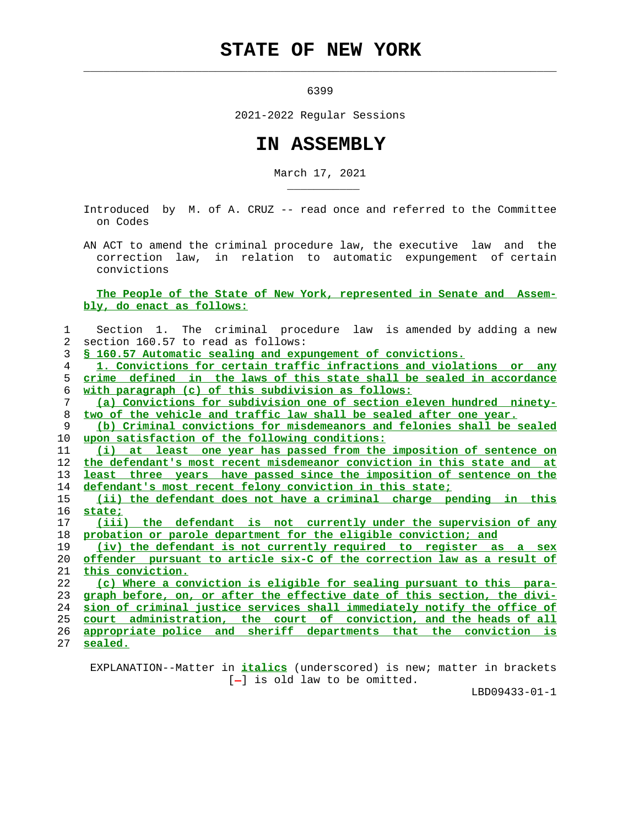## **STATE OF NEW YORK**

 $\mathcal{L}_\text{max} = \frac{1}{2} \sum_{i=1}^{n} \frac{1}{2} \sum_{i=1}^{n} \frac{1}{2} \sum_{i=1}^{n} \frac{1}{2} \sum_{i=1}^{n} \frac{1}{2} \sum_{i=1}^{n} \frac{1}{2} \sum_{i=1}^{n} \frac{1}{2} \sum_{i=1}^{n} \frac{1}{2} \sum_{i=1}^{n} \frac{1}{2} \sum_{i=1}^{n} \frac{1}{2} \sum_{i=1}^{n} \frac{1}{2} \sum_{i=1}^{n} \frac{1}{2} \sum_{i=1}^{n} \frac{1$ 

\_\_\_\_\_\_\_\_\_\_\_

6399

2021-2022 Regular Sessions

## **IN ASSEMBLY**

March 17, 2021

 Introduced by M. of A. CRUZ -- read once and referred to the Committee on Codes

 AN ACT to amend the criminal procedure law, the executive law and the correction law, in relation to automatic expungement of certain convictions

 **The People of the State of New York, represented in Senate and Assem bly, do enact as follows:**

| 1              | Section 1. The criminal procedure law is amended by adding a new             |
|----------------|------------------------------------------------------------------------------|
| $\overline{2}$ | section 160.57 to read as follows:                                           |
| 3              | \$ 160.57 Automatic sealing and expungement of convictions.                  |
| 4              | 1. Convictions for certain traffic infractions and violations or any         |
| 5              | crime defined in the laws of this state shall be sealed in accordance        |
| 6              | with paragraph (c) of this subdivision as follows:                           |
| 7              | (a) Convictions for subdivision one of section eleven hundred ninety-        |
| 8              | two of the vehicle and traffic law shall be sealed after one year.           |
| 9              | (b) Criminal convictions for misdemeanors and felonies shall be sealed       |
| 10             | upon satisfaction of the following conditions:                               |
| 11             | (i) at least one year has passed from the imposition of sentence on          |
| 12             | the defendant's most recent misdemeanor conviction in this state and at      |
| 13             | <u>least three years have passed since the imposition of sentence on the</u> |
| 14             | defendant's most recent felony conviction in this state;                     |
| 15             | (ii) the defendant does not have a criminal charge pending in this           |
| 16             | state:                                                                       |
| 17             | (iii) the defendant is not currently under the supervision of any            |
| 18             | probation or parole department for the eligible conviction; and              |
| 19             | (iv) the defendant is not currently required to register as a sex            |
| 20             | offender pursuant to article six-C of the correction law as a result of      |
| 21             | this conviction.                                                             |
| 22             | (c) Where a conviction is eligible for sealing pursuant to this para-        |
| 23             | graph before, on, or after the effective date of this section, the divi-     |
| 24             | sion of criminal justice services shall immediately notify the office of     |
| 25             | court administration, the court of conviction, and the heads of all          |
| 26             | appropriate police and sheriff departments that the conviction is            |
| 27             | sealed.                                                                      |

 EXPLANATION--Matter in **italics** (underscored) is new; matter in brackets  $[-]$  is old law to be omitted.

LBD09433-01-1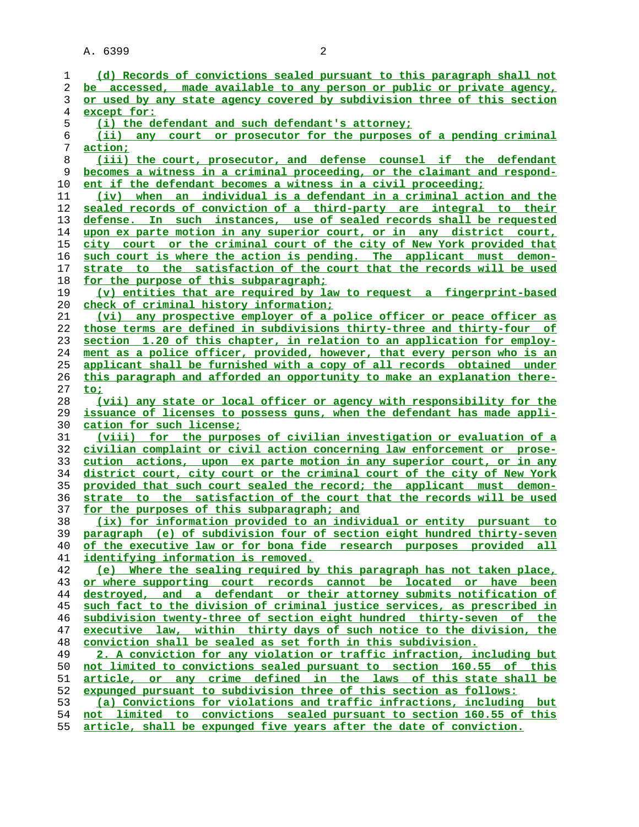| 1   | (d) Records of convictions sealed pursuant to this paragraph shall not      |
|-----|-----------------------------------------------------------------------------|
| 2   | be accessed, made available to any person or public or private agency,      |
| 3   | or used by any state agency covered by subdivision three of this section    |
| 4   | except for:                                                                 |
| 5   | (i) the defendant and such defendant's attorney;                            |
| 6   | any court or prosecutor for the purposes of a pending criminal<br>(iii)     |
| 7   | <u>action;</u>                                                              |
| 8   | (iii) the court, prosecutor, and defense counsel if the defendant           |
| 9   | becomes a witness in a criminal proceeding, or the claimant and respond-    |
| 10  | ent if the defendant becomes a witness in a civil proceeding;               |
| 11  | when an individual is a defendant in a criminal action and the<br>(iv)      |
| 12  | sealed records of conviction of a third-party are integral to their         |
| 13  | defense. In such instances, use of sealed records shall be requested        |
| 14  | upon ex parte motion in any superior court, or in any district court,       |
| 15  | city court or the criminal court of the city of New York provided that      |
|     | such court is where the action is pending. The applicant must demon-        |
| 16  |                                                                             |
| 17  | strate to the satisfaction of the court that the records will be used       |
| 18  | for the purpose of this subparagraph;                                       |
| 19  | (v) entities that are required by law to request a fingerprint-based        |
| 20  | <u>check of criminal history information;</u>                               |
| 21  | (vi) any prospective employer of a police officer or peace officer as       |
| 22  | those terms are defined in subdivisions thirty-three and thirty-four of     |
| 23  | section 1.20 of this chapter, in relation to an application for employ-     |
| 24  | ment as a police officer, provided, however, that every person who is an    |
| 25  | applicant shall be furnished with a copy of all records obtained under      |
| 26  | this paragraph and afforded an opportunity to make an explanation there-    |
| 27  | to;                                                                         |
| 28  | (vii) any state or local officer or agency with responsibility for the      |
| 29  | issuance of licenses to possess guns, when the defendant has made appli-    |
| 30  | cation for such license;                                                    |
| 31  | <u>(viii) for the purposes of civilian investigation or evaluation of a</u> |
| 32  | civilian complaint or civil action concerning law enforcement or prose-     |
| 33  | cution actions, upon ex parte motion in any superior court, or in any       |
| 34  | district court, city court or the criminal court of the city of New York    |
| 35  | provided that such court sealed the record; the applicant must demon-       |
| 36  | strate to the satisfaction of the court that the records will be used       |
| 37  | for the purposes of this subparagraph; and                                  |
| 38  | (ix) for information provided to an individual or entity pursuant to        |
| 39  | paragraph (e) of subdivision four of section eight hundred thirty-seven     |
| 40  | of the executive law or for bona fide research purposes provided all        |
| 41  | identifying information is removed.                                         |
| 42  | (e) Where the sealing required by this paragraph has not taken place,       |
| 43  | or where supporting court records cannot be located or have been            |
| 44  | destroyed, and a defendant or their attorney submits notification of        |
| 45  | such fact to the division of criminal justice services, as prescribed in    |
| 46  | subdivision twenty-three of section eight hundred thirty-seven of the       |
| 47  | executive law, within thirty days of such notice to the division, the       |
| 48  | conviction shall be sealed as set forth in this subdivision.                |
| 49  | 2. A conviction for any violation or traffic infraction, including but      |
| 50  | not limited to convictions sealed pursuant to section 160.55 of this        |
| 51  | article, or any crime defined in the laws of this state shall be            |
| 52  | expunged pursuant to subdivision three of this section as follows:          |
| 53  | (a) Convictions for violations and traffic infractions, including but       |
| 54  | not limited to convictions sealed pursuant to section 160.55 of this        |
| 도 다 | cuticle shell be expunsed five years often the date of sensigtion           |

**article, shall be expunged five years after the date of conviction.**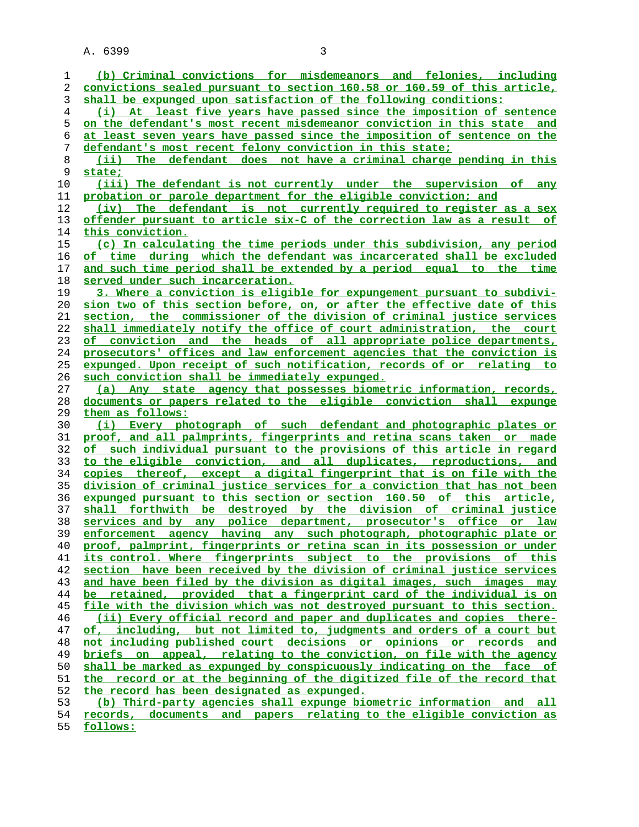| 1              | (b) Criminal convictions for misdemeanors and felonies, including                                                                              |
|----------------|------------------------------------------------------------------------------------------------------------------------------------------------|
| 2              | convictions sealed pursuant to section 160.58 or 160.59 of this article,                                                                       |
| 3              | shall be expunged upon satisfaction of the following conditions:                                                                               |
| $\overline{4}$ | (i) At least five years have passed since the imposition of sentence                                                                           |
| 5              | on the defendant's most recent misdemeanor conviction in this state and                                                                        |
| 6              | at least seven years have passed since the imposition of sentence on the                                                                       |
| 7              | defendant's most recent felony conviction in this state;                                                                                       |
| 8              | The defendant does not have a criminal charge pending in this<br>(iii)                                                                         |
| 9              | state;                                                                                                                                         |
| 10             | (iii) The defendant is not currently under the supervision of any                                                                              |
| 11             | probation or parole department for the eligible conviction; and                                                                                |
| 12             | (iv) The defendant is not currently required to register as a sex                                                                              |
| 13             | offender pursuant to article six-C of the correction law as a result of                                                                        |
| 14             | this conviction.                                                                                                                               |
| 15             | (c) In calculating the time periods under this subdivision, any period                                                                         |
| 16             | of time during which the defendant was incarcerated shall be excluded                                                                          |
| 17             | and such time period shall be extended by a period equal to the time                                                                           |
| 18             | served under such incarceration.                                                                                                               |
| 19             | 3. Where a conviction is eligible for expungement pursuant to subdivi-                                                                         |
| 20             | sion two of this section before, on, or after the effective date of this                                                                       |
|                | section, the commissioner of the division of criminal justice services                                                                         |
| 21<br>22       | shall immediately notify the office of court administration, the court                                                                         |
|                |                                                                                                                                                |
| 23             | of conviction and the heads of all appropriate police departments,<br>prosecutors' offices and law enforcement agencies that the conviction is |
| 24             |                                                                                                                                                |
| 25             | expunged. Upon receipt of such notification, records of or relating to                                                                         |
| 26             | such conviction shall be immediately expunged.                                                                                                 |
| 27             | (a) Any state agency that possesses biometric information, records,                                                                            |
| 28             | documents or papers related to the eligible conviction shall expunge                                                                           |
| 29             | them as follows:                                                                                                                               |
| 30             | (i) Every photograph of such defendant and photographic plates or<br>proof, and all palmprints, fingerprints and retina scans taken or made    |
| 31<br>32       | of such individual pursuant to the provisions of this article in regard                                                                        |
| 33             | to the eligible conviction, and all duplicates, reproductions, and                                                                             |
| 34             | copies thereof, except a digital fingerprint that is on file with the                                                                          |
| 35             | division of criminal justice services for a conviction that has not been                                                                       |
| 36             | expunged pursuant to this section or section 160.50 of this article,                                                                           |
|                | shall forthwith be destroyed by the division of criminal justice                                                                               |
| 37<br>38       | services and by any police department, prosecutor's office or law                                                                              |
| 39             | enforcement agency having any such photograph, photographic plate or                                                                           |
| 40             | proof, palmprint, fingerprints or retina scan in its possession or under                                                                       |
| 41             | its control. Where fingerprints subject to the provisions of this                                                                              |
| 42             | section have been received by the division of criminal justice services                                                                        |
| 43             | and have been filed by the division as digital images, such images may                                                                         |
| 44             | be retained, provided that a fingerprint card of the individual is on                                                                          |
| 45             | file with the division which was not destroyed pursuant to this section.                                                                       |
| 46             | (ii) Every official record and paper and duplicates and copies there-                                                                          |
| 47             | of, including, but not limited to, judgments and orders of a court but                                                                         |
| 48             | not including published court decisions or opinions or records and                                                                             |
| 49             | briefs on appeal, relating to the conviction, on file with the agency                                                                          |
| 50             | shall be marked as expunged by conspicuously indicating on the face of                                                                         |
| 51             | the record or at the beginning of the digitized file of the record that                                                                        |
| 52             | the record has been designated as expunged.                                                                                                    |
| 53             | (b) Third-party agencies shall expunge biometric information and all                                                                           |
| 54             | records, documents and papers relating to the eligible conviction as                                                                           |
|                |                                                                                                                                                |

**follows:**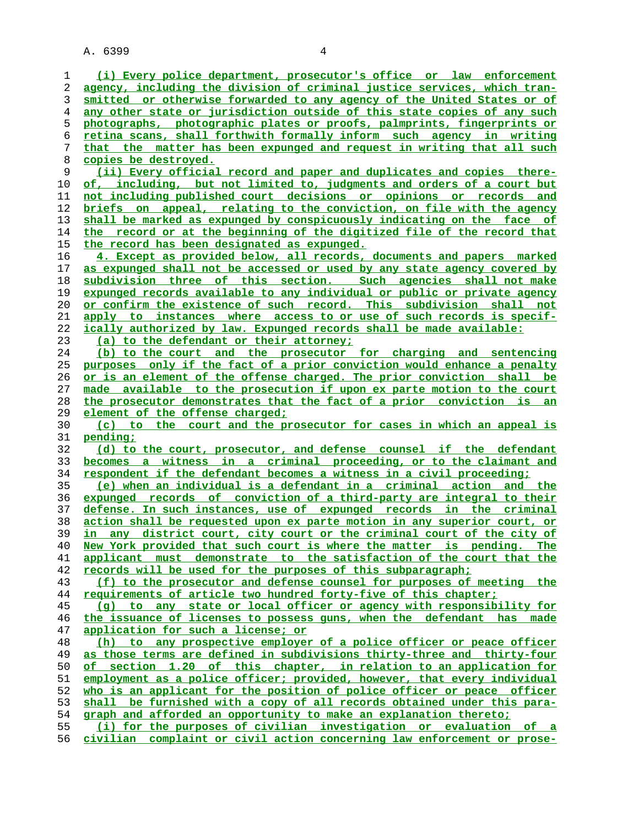**(i) Every police department, prosecutor's office or law enforcement agency, including the division of criminal justice services, which tran- smitted or otherwise forwarded to any agency of the United States or of any other state or jurisdiction outside of this state copies of any such photographs, photographic plates or proofs, palmprints, fingerprints or retina scans, shall forthwith formally inform such agency in writing that the matter has been expunged and request in writing that all such copies be destroyed. (ii) Every official record and paper and duplicates and copies there- of, including, but not limited to, judgments and orders of a court but not including published court decisions or opinions or records and briefs on appeal, relating to the conviction, on file with the agency shall be marked as expunged by conspicuously indicating on the face of the record or at the beginning of the digitized file of the record that the record has been designated as expunged. 4. Except as provided below, all records, documents and papers marked as expunged shall not be accessed or used by any state agency covered by subdivision three of this section. Such agencies shall not make expunged records available to any individual or public or private agency or confirm the existence of such record. This subdivision shall not apply to instances where access to or use of such records is specif- ically authorized by law. Expunged records shall be made available: (a) to the defendant or their attorney; (b) to the court and the prosecutor for charging and sentencing purposes only if the fact of a prior conviction would enhance a penalty or is an element of the offense charged. The prior conviction shall be made available to the prosecution if upon ex parte motion to the court the prosecutor demonstrates that the fact of a prior conviction is an element of the offense charged; (c) to the court and the prosecutor for cases in which an appeal is pending; (d) to the court, prosecutor, and defense counsel if the defendant becomes a witness in a criminal proceeding, or to the claimant and respondent if the defendant becomes a witness in a civil proceeding; (e) when an individual is a defendant in a criminal action and the expunged records of conviction of a third-party are integral to their defense. In such instances, use of expunged records in the criminal action shall be requested upon ex parte motion in any superior court, or in any district court, city court or the criminal court of the city of New York provided that such court is where the matter is pending. The applicant must demonstrate to the satisfaction of the court that the records will be used for the purposes of this subparagraph; (f) to the prosecutor and defense counsel for purposes of meeting the requirements of article two hundred forty-five of this chapter; (g) to any state or local officer or agency with responsibility for the issuance of licenses to possess guns, when the defendant has made application for such a license; or (h) to any prospective employer of a police officer or peace officer as those terms are defined in subdivisions thirty-three and thirty-four of section 1.20 of this chapter, in relation to an application for employment as a police officer; provided, however, that every individual who is an applicant for the position of police officer or peace officer shall be furnished with a copy of all records obtained under this para- graph and afforded an opportunity to make an explanation thereto; (i) for the purposes of civilian investigation or evaluation of a civilian complaint or civil action concerning law enforcement or prose-**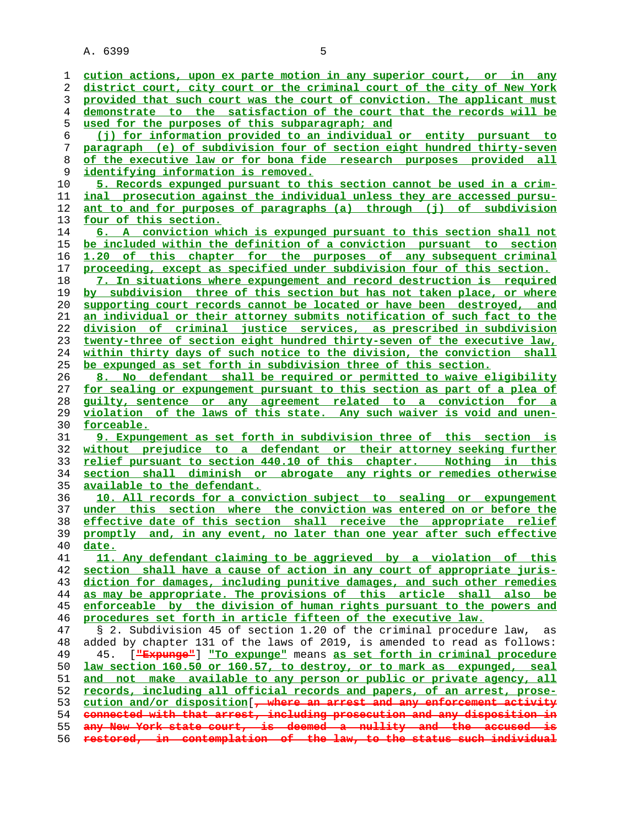**cution actions, upon ex parte motion in any superior court, or in any district court, city court or the criminal court of the city of New York provided that such court was the court of conviction. The applicant must demonstrate to the satisfaction of the court that the records will be used for the purposes of this subparagraph; and (j) for information provided to an individual or entity pursuant to paragraph (e) of subdivision four of section eight hundred thirty-seven of the executive law or for bona fide research purposes provided all identifying information is removed. 5. Records expunged pursuant to this section cannot be used in a crim- inal prosecution against the individual unless they are accessed pursu- ant to and for purposes of paragraphs (a) through (j) of subdivision four of this section. 6. A conviction which is expunged pursuant to this section shall not be included within the definition of a conviction pursuant to section 1.20 of this chapter for the purposes of any subsequent criminal proceeding, except as specified under subdivision four of this section. 7. In situations where expungement and record destruction is required by subdivision three of this section but has not taken place, or where supporting court records cannot be located or have been destroyed, and an individual or their attorney submits notification of such fact to the division of criminal justice services, as prescribed in subdivision twenty-three of section eight hundred thirty-seven of the executive law, within thirty days of such notice to the division, the conviction shall be expunged as set forth in subdivision three of this section. 8. No defendant shall be required or permitted to waive eligibility for sealing or expungement pursuant to this section as part of a plea of guilty, sentence or any agreement related to a conviction for a violation of the laws of this state. Any such waiver is void and unen- forceable. 9. Expungement as set forth in subdivision three of this section is without prejudice to a defendant or their attorney seeking further relief pursuant to section 440.10 of this chapter. Nothing in this section shall diminish or abrogate any rights or remedies otherwise available to the defendant. 10. All records for a conviction subject to sealing or expungement under this section where the conviction was entered on or before the effective date of this section shall receive the appropriate relief promptly and, in any event, no later than one year after such effective date. 11. Any defendant claiming to be aggrieved by a violation of this section shall have a cause of action in any court of appropriate juris- diction for damages, including punitive damages, and such other remedies as may be appropriate. The provisions of this article shall also be enforceable by the division of human rights pursuant to the powers and procedures set forth in article fifteen of the executive law.** 47 § 2. Subdivision 45 of section 1.20 of the criminal procedure law, as 48 added by chapter 131 of the laws of 2019, is amended to read as follows:<br>49 45. [<del>"Expunge"</del>] "To expunge" means as set forth in criminal procedure 49 45. [**"Expunge"**] **"To expunge"** means **as set forth in criminal procedure law section 160.50 or 160.57, to destroy, or to mark as expunged, seal and not make available to any person or public or private agency, all records, including all official records and papers, of an arrest, prose- cution and/or disposition**[**, where an arrest and any enforcement activity connected with that arrest, including prosecution and any disposition in any New York state court, is deemed a nullity and the accused is restored, in contemplation of the law, to the status such individual**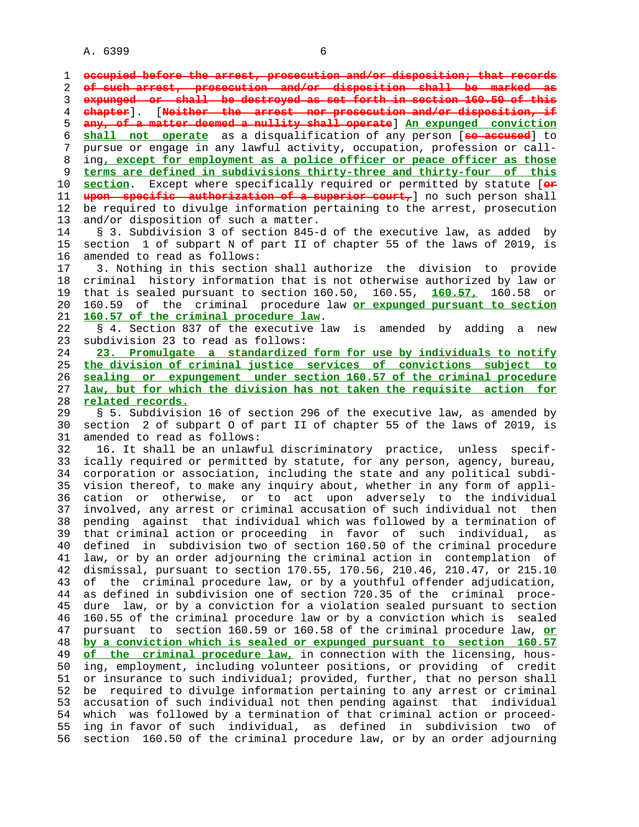1 **occupied before the arrest, prosecution and/or disposition; that records** 2 **of such arrest, prosecution and/or disposition shall be marked as** 3 **expunged or shall be destroyed as set forth in section 160.50 of this** 4 **chapter**]. [**Neither the arrest nor prosecution and/or disposition, if** 5 **any, of a matter deemed a nullity shall operate**] **An expunged conviction** 6 **shall not operate** as a disqualification of any person [**so accused**] to 7 pursue or engage in any lawful activity, occupation, profession or call- 8 ing**, except for employment as a police officer or peace officer as those** 9 **terms are defined in subdivisions thirty-three and thirty-four of this** 10 **section**. Except where specifically required or permitted by statute [**or** 11 **upon specific authorization of a superior court,**] no such person shall 12 be required to divulge information pertaining to the arrest, prosecution 13 and/or disposition of such a matter. 14 § 3. Subdivision 3 of section 845-d of the executive law, as added by 15 section 1 of subpart N of part II of chapter 55 of the laws of 2019, is 16 amended to read as follows: 17 3. Nothing in this section shall authorize the division to provide 18 criminal history information that is not otherwise authorized by law or 19 that is sealed pursuant to section 160.50, 160.55, **160.57,** 160.58 or 20 160.59 of the criminal procedure law **or expunged pursuant to section** 21 **160.57 of the criminal procedure law**. 22 § 4. Section 837 of the executive law is amended by adding a new 23 subdivision 23 to read as follows: 24 **23. Promulgate a standardized form for use by individuals to notify** 25 **the division of criminal justice services of convictions subject to** 26 **sealing or expungement under section 160.57 of the criminal procedure** 27 **law, but for which the division has not taken the requisite action for** 28 **related records.** 29 § 5. Subdivision 16 of section 296 of the executive law, as amended by 30 section 2 of subpart O of part II of chapter 55 of the laws of 2019, is 31 amended to read as follows: 32 16. It shall be an unlawful discriminatory practice, unless specif- 33 ically required or permitted by statute, for any person, agency, bureau, 34 corporation or association, including the state and any political subdi- 35 vision thereof, to make any inquiry about, whether in any form of appli- 36 cation or otherwise, or to act upon adversely to the individual 37 involved, any arrest or criminal accusation of such individual not then 38 pending against that individual which was followed by a termination of 39 that criminal action or proceeding in favor of such individual, as 40 defined in subdivision two of section 160.50 of the criminal procedure 41 law, or by an order adjourning the criminal action in contemplation of 42 dismissal, pursuant to section 170.55, 170.56, 210.46, 210.47, or 215.10 43 of the criminal procedure law, or by a youthful offender adjudication, 44 as defined in subdivision one of section 720.35 of the criminal proce- 45 dure law, or by a conviction for a violation sealed pursuant to section 46 160.55 of the criminal procedure law or by a conviction which is sealed 47 pursuant to section 160.59 or 160.58 of the criminal procedure law, **or** 48 **by a conviction which is sealed or expunged pursuant to section 160.57** 49 **of the criminal procedure law,** in connection with the licensing, hous- 50 ing, employment, including volunteer positions, or providing of credit 51 or insurance to such individual; provided, further, that no person shall 52 be required to divulge information pertaining to any arrest or criminal 53 accusation of such individual not then pending against that individual 54 which was followed by a termination of that criminal action or proceed- 55 ing in favor of such individual, as defined in subdivision two of 56 section 160.50 of the criminal procedure law, or by an order adjourning